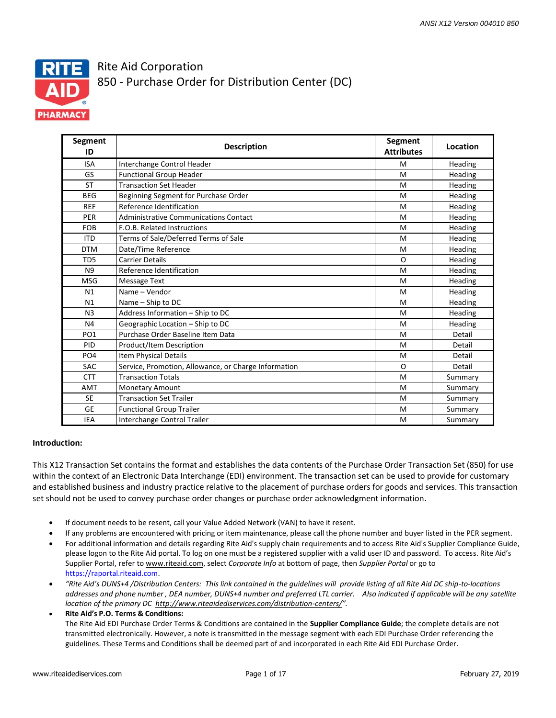# Rite Aid Corporation 850 - Purchase Order for Distribution Center (DC) **HARMACY**

| Segment<br>ID   | <b>Description</b>                                   | <b>Segment</b><br><b>Attributes</b> | Location |
|-----------------|------------------------------------------------------|-------------------------------------|----------|
| <b>ISA</b>      | Interchange Control Header                           | M                                   | Heading  |
| GS              | <b>Functional Group Header</b>                       | M                                   | Heading  |
| <b>ST</b>       | <b>Transaction Set Header</b>                        | M                                   | Heading  |
| <b>BEG</b>      | Beginning Segment for Purchase Order                 | M                                   | Heading  |
| <b>REF</b>      | Reference Identification                             | M                                   | Heading  |
| <b>PER</b>      | <b>Administrative Communications Contact</b>         | M                                   | Heading  |
| <b>FOB</b>      | F.O.B. Related Instructions                          | M                                   | Heading  |
| <b>ITD</b>      | Terms of Sale/Deferred Terms of Sale                 | M                                   | Heading  |
| <b>DTM</b>      | Date/Time Reference                                  | M                                   | Heading  |
| TD <sub>5</sub> | <b>Carrier Details</b>                               | O                                   | Heading  |
| N <sub>9</sub>  | Reference Identification                             | M                                   | Heading  |
| <b>MSG</b>      | <b>Message Text</b>                                  | M                                   | Heading  |
| N1              | Name - Vendor                                        | M                                   | Heading  |
| N1              | Name - Ship to DC                                    | M                                   | Heading  |
| N <sub>3</sub>  | Address Information - Ship to DC                     | M                                   | Heading  |
| N4              | Geographic Location - Ship to DC                     | M                                   | Heading  |
| PO <sub>1</sub> | Purchase Order Baseline Item Data                    | M                                   | Detail   |
| PID             | Product/Item Description                             | M                                   | Detail   |
| PO <sub>4</sub> | Item Physical Details                                | M                                   | Detail   |
| <b>SAC</b>      | Service, Promotion, Allowance, or Charge Information | $\Omega$                            | Detail   |
| <b>CTT</b>      | <b>Transaction Totals</b>                            | M                                   | Summary  |
| <b>AMT</b>      | <b>Monetary Amount</b>                               | M                                   | Summary  |
| <b>SE</b>       | <b>Transaction Set Trailer</b>                       | M                                   | Summary  |
| GE              | <b>Functional Group Trailer</b>                      | M                                   | Summary  |
| <b>IEA</b>      | Interchange Control Trailer                          | M                                   | Summary  |

#### **Introduction:**

This X12 Transaction Set contains the format and establishes the data contents of the Purchase Order Transaction Set (850) for use within the context of an Electronic Data Interchange (EDI) environment. The transaction set can be used to provide for customary and established business and industry practice relative to the placement of purchase orders for goods and services. This transaction set should not be used to convey purchase order changes or purchase order acknowledgment information.

- If document needs to be resent, call your Value Added Network (VAN) to have it resent.
- If any problems are encountered with pricing or item maintenance, please call the phone number and buyer listed in the PER segment.
- For additional information and details regarding Rite Aid's supply chain requirements and to access Rite Aid's Supplier Compliance Guide, please logon to the Rite Aid portal. To log on one must be a registered supplier with a valid user ID and password. To access. Rite Aid's Supplier Portal, refer t[o www.riteaid.com,](http://www.riteaid.com/) select *Corporate Info* at bottom of page, then *Supplier Portal* or go to [https://raportal.riteaid.com.](https://raportal.riteaid.com/)
- *"Rite Aid's DUNS+4 /Distribution Centers: This link contained in the guidelines will provide listing of all Rite Aid DC ship-to-locations addresses and phone number , DEA number, DUNS+4 number and preferred LTL carrier. Also indicated if applicable will be any satellite location of the primary DC<http://www.riteaidediservices.com/distribution-centers/>".*
- **Rite Aid's P.O. Terms & Conditions:** The Rite Aid EDI Purchase Order Terms & Conditions are contained in the **Supplier Compliance Guide**; the complete details are not transmitted electronically. However, a note is transmitted in the message segment with each EDI Purchase Order referencing the guidelines. These Terms and Conditions shall be deemed part of and incorporated in each Rite Aid EDI Purchase Order.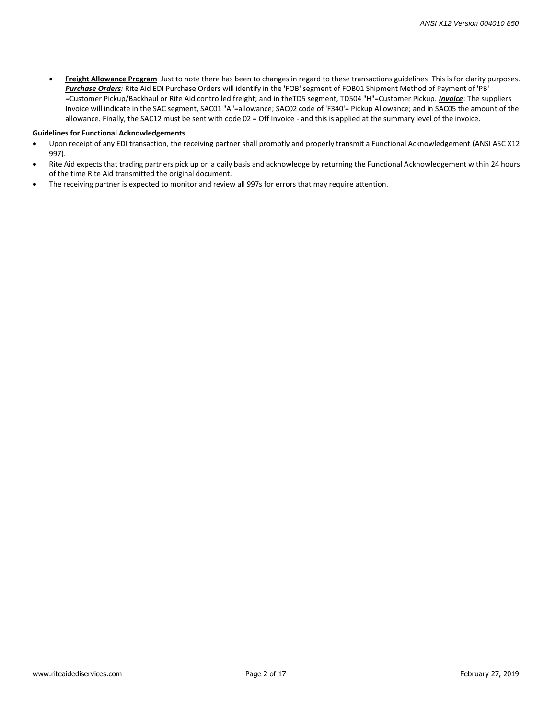• **Freight Allowance Program** Just to note there has been to changes in regard to these transactions guidelines. This is for clarity purposes. *Purchase Orders:* Rite Aid EDI Purchase Orders will identify in the 'FOB' segment of FOB01 Shipment Method of Payment of 'PB' =Customer Pickup/Backhaul or Rite Aid controlled freight; and in theTD5 segment, TD504 "H"=Customer Pickup. *Invoice*: The suppliers Invoice will indicate in the SAC segment, SAC01 "A"=allowance; SAC02 code of 'F340'= Pickup Allowance; and in SAC05 the amount of the allowance. Finally, the SAC12 must be sent with code 02 = Off Invoice - and this is applied at the summary level of the invoice.

#### **Guidelines for Functional Acknowledgements**

- Upon receipt of any EDI transaction, the receiving partner shall promptly and properly transmit a Functional Acknowledgement (ANSI ASC X12 997).
- Rite Aid expects that trading partners pick up on a daily basis and acknowledge by returning the Functional Acknowledgement within 24 hours of the time Rite Aid transmitted the original document.
- The receiving partner is expected to monitor and review all 997s for errors that may require attention.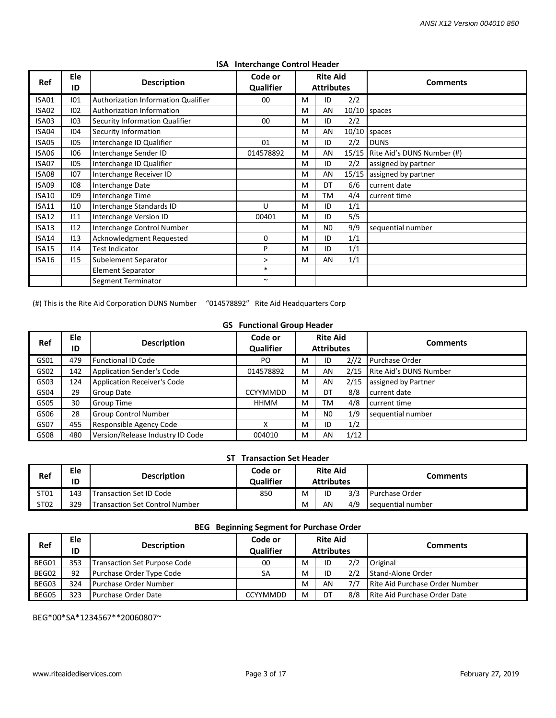| Ref          | Ele<br>ID | <b>Description</b>                         | Code or<br>Qualifier  |   | <b>Rite Aid</b><br><b>Attributes</b> |     | <b>Comments</b>                    |
|--------------|-----------|--------------------------------------------|-----------------------|---|--------------------------------------|-----|------------------------------------|
| ISA01        | 101       | <b>Authorization Information Qualifier</b> | 00                    | M | ID                                   | 2/2 |                                    |
| ISA02        | 102       | Authorization Information                  |                       | м | AN                                   |     | $10/10$ spaces                     |
| <b>ISA03</b> | 103       | Security Information Qualifier             | 00                    | M | ID                                   | 2/2 |                                    |
| ISA04        | 104       | Security Information                       |                       | M | AN                                   |     | $10/10$ spaces                     |
| ISA05        | 105       | Interchange ID Qualifier                   | 01                    | м | ID                                   | 2/2 | <b>DUNS</b>                        |
| ISA06        | 106       | Interchange Sender ID                      | 014578892             | M | AN                                   |     | 15/15   Rite Aid's DUNS Number (#) |
| ISA07        | 105       | Interchange ID Qualifier                   |                       | M | ID                                   | 2/2 | assigned by partner                |
| ISA08        | 107       | Interchange Receiver ID                    |                       | M | AN                                   |     | 15/15 assigned by partner          |
| ISA09        | 108       | Interchange Date                           |                       | M | DT                                   | 6/6 | current date                       |
| ISA10        | 109       | Interchange Time                           |                       | M | TM                                   | 4/4 | current time                       |
| <b>ISA11</b> | 110       | Interchange Standards ID                   | U                     | M | ID                                   | 1/1 |                                    |
| ISA12        | 111       | Interchange Version ID                     | 00401                 | M | ID                                   | 5/5 |                                    |
| <b>ISA13</b> | 112       | Interchange Control Number                 |                       | M | N <sub>0</sub>                       | 9/9 | sequential number                  |
| <b>ISA14</b> | 113       | Acknowledgment Requested                   | 0                     | M | ID                                   | 1/1 |                                    |
| ISA15        | 114       | <b>Test Indicator</b>                      | P                     | M | ID                                   | 1/1 |                                    |
| ISA16        | 115       | Subelement Separator                       | >                     | M | AN                                   | 1/1 |                                    |
|              |           | <b>Element Separator</b>                   | $*$                   |   |                                      |     |                                    |
|              |           | Segment Terminator                         | $\tilde{\phantom{a}}$ |   |                                      |     |                                    |

## **ISA Interchange Control Header**

(#) This is the Rite Aid Corporation DUNS Number "014578892" Rite Aid Headquarters Corp

# **GS Functional Group Header**

| Ref  | Ele<br>ID | <b>Description</b>                 | Code or<br>Qualifier |   | <b>Rite Aid</b><br><b>Attributes</b> |      | <b>Comments</b>        |
|------|-----------|------------------------------------|----------------------|---|--------------------------------------|------|------------------------|
| GS01 | 479       | <b>Functional ID Code</b>          | PO.                  | M | ID                                   | 21/2 | Purchase Order         |
| GS02 | 142       | <b>Application Sender's Code</b>   | 014578892            | M | AN                                   | 2/15 | Rite Aid's DUNS Number |
| GS03 | 124       | <b>Application Receiver's Code</b> |                      | M | AN                                   | 2/15 | assigned by Partner    |
| GS04 | 29        | Group Date                         | CCYYMMDD             | M | DT                                   | 8/8  | current date           |
| GS05 | 30        | Group Time                         | <b>HHMM</b>          | M | TM                                   | 4/8  | current time           |
| GS06 | 28        | <b>Group Control Number</b>        |                      | M | N <sub>0</sub>                       | 1/9  | sequential number      |
| GS07 | 455       | Responsible Agency Code            |                      | M | ID                                   | 1/2  |                        |
| GS08 | 480       | Version/Release Industry ID Code   | 004010               | M | AN                                   | 1/12 |                        |

# **ST Transaction Set Header**

| Ref  | Ele<br>ID | <b>Description</b>             | Code or<br>Qualifier |   | <b>Rite Aid</b><br><b>Attributes</b> |     | <b>Comments</b>   |
|------|-----------|--------------------------------|----------------------|---|--------------------------------------|-----|-------------------|
| ST01 | 143       | Transaction Set ID Code        | 850                  | M | ID                                   | 3/3 | Purchase Order    |
| ST02 | 329       | Transaction Set Control Number |                      | M | AN                                   | 4/9 | sequential number |

#### **BEG Beginning Segment for Purchase Order**

| Ref   | Ele<br>ID | <b>Description</b>           | Code or<br><b>Qualifier</b> |   | <b>Rite Aid</b><br><b>Attributes</b> |     | Comments                       |  |  |  |
|-------|-----------|------------------------------|-----------------------------|---|--------------------------------------|-----|--------------------------------|--|--|--|
| BEG01 | 353       | Transaction Set Purpose Code | 00                          | м | ID                                   | 2/2 | Original                       |  |  |  |
| BEG02 | 92        | Purchase Order Type Code     | SA                          | M | ID                                   | 2/2 | Stand-Alone Order              |  |  |  |
| BEG03 | 324       | Purchase Order Number        |                             | M | AN                                   | 7/7 | Rite Aid Purchase Order Number |  |  |  |
| BEG05 | 323       | Purchase Order Date          | CCYYMMDD                    | M | DT                                   | 8/8 | Rite Aid Purchase Order Date   |  |  |  |

BEG\*00\*SA\*1234567\*\*20060807~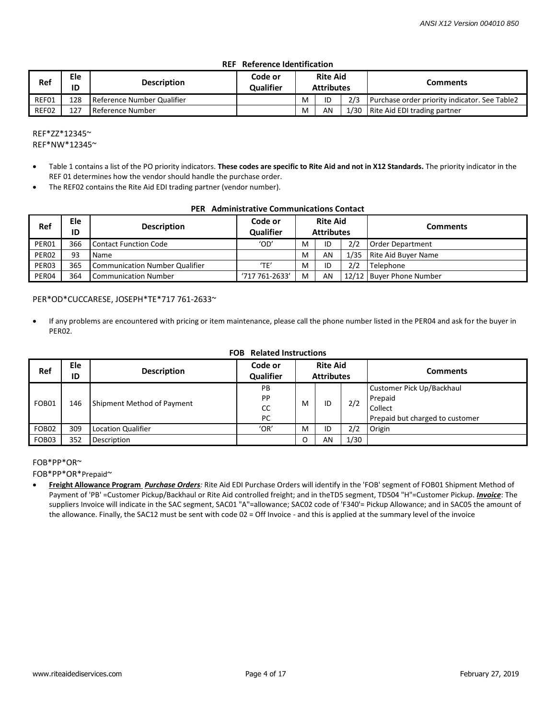#### **REF Reference Identification**

| Ref   | Ele<br>ID | <b>Description</b>         | Code or<br>Qualifier |   | <b>Rite Aid</b><br><b>Attributes</b> |      | Comments                                      |
|-------|-----------|----------------------------|----------------------|---|--------------------------------------|------|-----------------------------------------------|
| REF01 | 128       | Reference Number Qualifier |                      | м | ID                                   | 2/3  | Purchase order priority indicator. See Table2 |
| REF02 | 127       | l Reference Number         |                      | M | AN                                   | 1/30 | Rite Aid EDI trading partner                  |

REF\*ZZ\*12345~ REF\*NW\*12345~

- Table 1 contains a list of the PO priority indicators. **These codes are specific to Rite Aid and not in X12 Standards.** The priority indicator in the REF 01 determines how the vendor should handle the purchase order.
- The REF02 contains the Rite Aid EDI trading partner (vendor number).

#### **PER Administrative Communications Contact**

| Ref   | Ele<br>ID | <b>Description</b>                    | Code or<br><b>Qualifier</b> |   | <b>Rite Aid</b><br><b>Attributes</b> |      | <b>Comments</b>          |
|-------|-----------|---------------------------------------|-----------------------------|---|--------------------------------------|------|--------------------------|
| PER01 | 366       | <b>Contact Function Code</b>          | 'OD'                        | м | ID                                   | 2/2  | Order Department         |
| PER02 | 93        | Name                                  |                             | M | AN                                   | 1/35 | Rite Aid Buyer Name      |
| PER03 | 365       | <b>Communication Number Qualifier</b> | 'TF'                        | M | ID                                   | 2/2  | Telephone                |
| PER04 | 364       | <b>Communication Number</b>           | '717 761-2633'              | M | AN                                   |      | 12/12 Buyer Phone Number |

#### PER\*OD\*CUCCARESE, JOSEPH\*TE\*717 761-2633~

• If any problems are encountered with pricing or item maintenance, please call the phone number listed in the PER04 and ask for the buyer in PER02.

#### **FOB Related Instructions**

| Ref   | Ele<br>ID | <b>Description</b>         | Code or<br><b>Qualifier</b> | <b>Rite Aid</b><br><b>Attributes</b> |    |      | <b>Comments</b>                 |
|-------|-----------|----------------------------|-----------------------------|--------------------------------------|----|------|---------------------------------|
|       |           | Shipment Method of Payment | PB                          |                                      |    | 2/2  | Customer Pick Up/Backhaul       |
| FOB01 | 146       |                            | PP                          | M                                    | ID |      | Prepaid                         |
|       |           |                            | CC                          |                                      |    |      | Collect                         |
|       |           |                            | PC                          |                                      |    |      | Prepaid but charged to customer |
| FOB02 | 309       | <b>Location Qualifier</b>  | 'OR'                        | M                                    | ID | 2/2  | Origin                          |
| FOB03 | 352       | Description                |                             |                                      | AN | 1/30 |                                 |

#### FOB\*PP\*OR~

FOB\*PP\*OR\*Prepaid~

• **Freight Allowance Program** *Purchase Orders:* Rite Aid EDI Purchase Orders will identify in the 'FOB' segment of FOB01 Shipment Method of Payment of 'PB' =Customer Pickup/Backhaul or Rite Aid controlled freight; and in theTD5 segment, TD504 "H"=Customer Pickup. *Invoice*: The suppliers Invoice will indicate in the SAC segment, SAC01 "A"=allowance; SAC02 code of 'F340'= Pickup Allowance; and in SAC05 the amount of the allowance. Finally, the SAC12 must be sent with code 02 = Off Invoice - and this is applied at the summary level of the invoice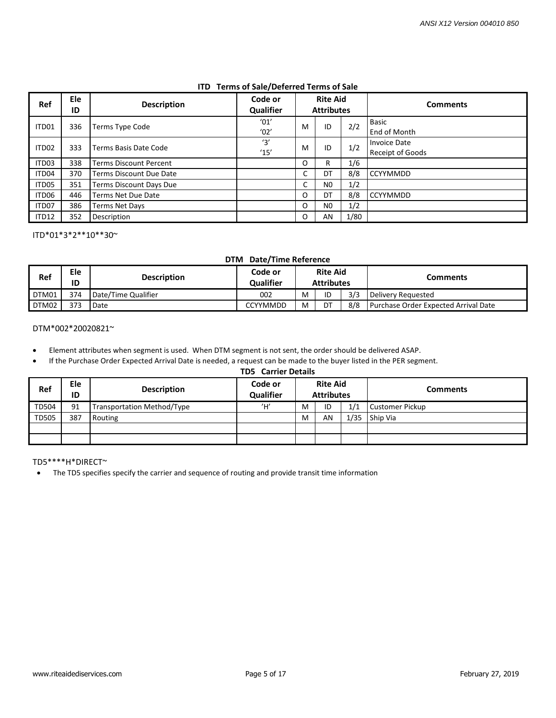| Ref   | Ele<br>ID | <b>Description</b>            | Code or<br><b>Qualifier</b> |   | <b>Rite Aid</b><br><b>Attributes</b> |      | <b>Comments</b>                         |
|-------|-----------|-------------------------------|-----------------------------|---|--------------------------------------|------|-----------------------------------------|
| ITD01 | 336       | Terms Type Code               | '01'<br>'02'                | M | ID                                   | 2/2  | <b>Basic</b><br>End of Month            |
| ITD02 | 333       | Terms Basis Date Code         | '3'<br>'15'                 | M | ID                                   | 1/2  | <b>Invoice Date</b><br>Receipt of Goods |
| ITD03 | 338       | <b>Terms Discount Percent</b> |                             | O | R                                    | 1/6  |                                         |
| ITD04 | 370       | Terms Discount Due Date       |                             | J | DT                                   | 8/8  | <b>CCYYMMDD</b>                         |
| ITD05 | 351       | Terms Discount Days Due       |                             | J | N <sub>0</sub>                       | 1/2  |                                         |
| ITD06 | 446       | Terms Net Due Date            |                             | O | DT                                   | 8/8  | CCYYMMDD                                |
| ITD07 | 386       | Terms Net Days                |                             | O | N <sub>0</sub>                       | 1/2  |                                         |
| ITD12 | 352       | Description                   |                             | O | AN                                   | 1/80 |                                         |

# **ITD Terms of Sale/Deferred Terms of Sale**

ITD\*01\*3\*2\*\*10\*\*30~

|       | <b>DIM DATE INTERFERITE</b> |                     |                             |                                      |    |     |                                      |  |  |
|-------|-----------------------------|---------------------|-----------------------------|--------------------------------------|----|-----|--------------------------------------|--|--|
| Ref   | Ele<br>ID                   | <b>Description</b>  | Code or<br><b>Qualifier</b> | <b>Rite Aid</b><br><b>Attributes</b> |    |     | <b>Comments</b>                      |  |  |
| DTM01 | 374                         | Date/Time Qualifier | 002                         | M                                    | ID | 3/3 | Delivery Requested                   |  |  |
| DTM02 | 373                         | Date                | CCYYMMDD                    | M                                    | DT | 8/8 | Purchase Order Expected Arrival Date |  |  |

**DTM Date/Time Reference**

#### DTM\*002\*20020821~

- Element attributes when segment is used. When DTM segment is not sent, the order should be delivered ASAP.
- If the Purchase Order Expected Arrival Date is needed, a request can be made to the buyer listed in the PER segment.

|  | <b>TD5</b> Carrier Details |  |
|--|----------------------------|--|
|--|----------------------------|--|

| Ref          | Ele<br>ID | <b>Description</b>         | Code or<br><b>Qualifier</b> |   | <b>Rite Aid</b><br><b>Attributes</b> |      | <b>Comments</b> |
|--------------|-----------|----------------------------|-----------------------------|---|--------------------------------------|------|-----------------|
| TD504        | 91        | Transportation Method/Type | Ή                           | M | ID                                   | 1/1  | Customer Pickup |
| <b>TD505</b> | 387       | Routing                    |                             | M | AN                                   | 1/35 | Ship Via        |
|              |           |                            |                             |   |                                      |      |                 |
|              |           |                            |                             |   |                                      |      |                 |

#### TD5\*\*\*\*H\*DIRECT~

• The TD5 specifies specify the carrier and sequence of routing and provide transit time information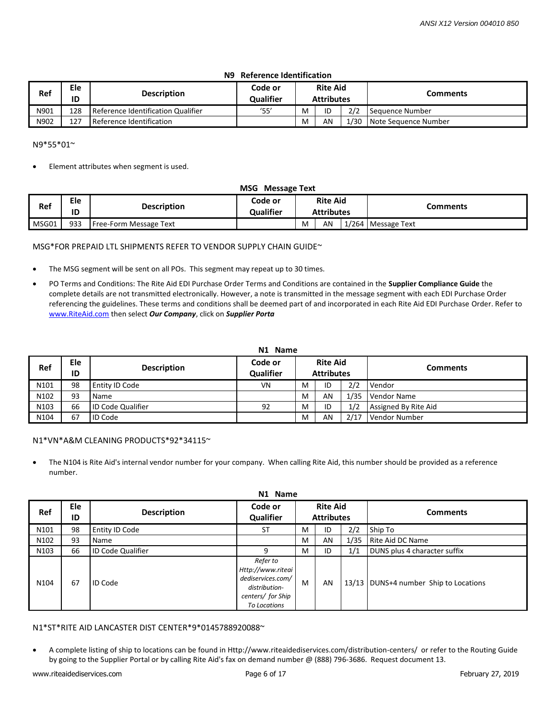|      | <b>Reference Identification</b><br>N9. |                                    |                  |                   |                 |      |                      |  |  |  |  |
|------|----------------------------------------|------------------------------------|------------------|-------------------|-----------------|------|----------------------|--|--|--|--|
| Ref  | Ele<br><b>Description</b>              |                                    | Code or          |                   | <b>Rite Aid</b> |      | <b>Comments</b>      |  |  |  |  |
|      | ID                                     |                                    | <b>Qualifier</b> | <b>Attributes</b> |                 |      |                      |  |  |  |  |
| N901 | 128                                    | Reference Identification Qualifier | 55'              | M                 | ID              | 2/2  | Sequence Number      |  |  |  |  |
| N902 | 127                                    | Reference Identification           |                  | M                 | AN              | 1/30 | Note Sequence Number |  |  |  |  |

N9\*55\*01~

• Element attributes when segment is used.

#### **MSG Message Text**

| Ref   | Ele<br>ID | <b>Description</b>     | Code or<br><b>Qualifier</b> |   | <b>Rite Aid</b><br><b>Attributes</b> |       | Comments     |
|-------|-----------|------------------------|-----------------------------|---|--------------------------------------|-------|--------------|
| MSG01 | 933       | Free-Form Message Text |                             | M | AN                                   | 1/264 | Message Text |

#### MSG\*FOR PREPAID LTL SHIPMENTS REFER TO VENDOR SUPPLY CHAIN GUIDE~

- The MSG segment will be sent on all POs. This segment may repeat up to 30 times.
- PO Terms and Conditions: The Rite Aid EDI Purchase Order Terms and Conditions are contained in the **Supplier Compliance Guide** the complete details are not transmitted electronically. However, a note is transmitted in the message segment with each EDI Purchase Order referencing the guidelines. These terms and conditions shall be deemed part of and incorporated in each Rite Aid EDI Purchase Order. Refer to [www.RiteAid.com](http://www.riteaid.com/) then select *Our Company*, click on *Supplier Porta*

|      | N1 Name   |                          |                             |   |                                      |      |                      |  |  |  |  |
|------|-----------|--------------------------|-----------------------------|---|--------------------------------------|------|----------------------|--|--|--|--|
| Ref  | Ele<br>ID | <b>Description</b>       | Code or<br><b>Qualifier</b> |   | <b>Rite Aid</b><br><b>Attributes</b> |      | <b>Comments</b>      |  |  |  |  |
| N101 | 98        | <b>Entity ID Code</b>    | VN                          | M | ID                                   | 2/2  | Vendor               |  |  |  |  |
| N102 | 93        | Name                     |                             | M | AN                                   | 1/35 | Vendor Name          |  |  |  |  |
| N103 | 66        | <b>ID Code Qualifier</b> | 92                          | M | ID                                   | 1/2  | Assigned By Rite Aid |  |  |  |  |
| N104 | 67        | <b>ID</b> Code           |                             | M | AN                                   | 2/17 | Vendor Number        |  |  |  |  |

#### N1\*VN\*A&M CLEANING PRODUCTS\*92\*34115~

• The N104 is Rite Aid's internal vendor number for your company. When calling Rite Aid, this number should be provided as a reference number.

|                  | N1 Name   |                          |                                                                                                                 |                                      |    |      |                                       |  |  |  |
|------------------|-----------|--------------------------|-----------------------------------------------------------------------------------------------------------------|--------------------------------------|----|------|---------------------------------------|--|--|--|
| Ref              | Ele<br>ID | <b>Description</b>       | Code or<br>Qualifier                                                                                            | <b>Rite Aid</b><br><b>Attributes</b> |    |      | <b>Comments</b>                       |  |  |  |
| N <sub>101</sub> | 98        | Entity ID Code           | ST                                                                                                              | M                                    | ID | 2/2  | Ship To                               |  |  |  |
| N <sub>102</sub> | 93        | Name                     |                                                                                                                 | M                                    | AN | 1/35 | Rite Aid DC Name                      |  |  |  |
| N <sub>103</sub> | 66        | <b>ID Code Qualifier</b> | 9                                                                                                               | M                                    | ID | 1/1  | DUNS plus 4 character suffix          |  |  |  |
| N <sub>104</sub> | 67        | ID Code                  | Refer to<br>Http://www.riteai<br>dediservices.com/<br>distribution-<br>centers/ for Ship<br><b>To Locations</b> | M                                    | AN |      | 13/13 DUNS+4 number Ship to Locations |  |  |  |

#### N1\*ST\*RITE AID LANCASTER DIST CENTER\*9\*0145788920088~

• A complete listing of ship to locations can be found in Http://www.riteaidediservices.com/distribution-centers/ or refer to the Routing Guide by going to the Supplier Portal or by calling Rite Aid's fax on demand number @ (888) 796-3686. Request document 13.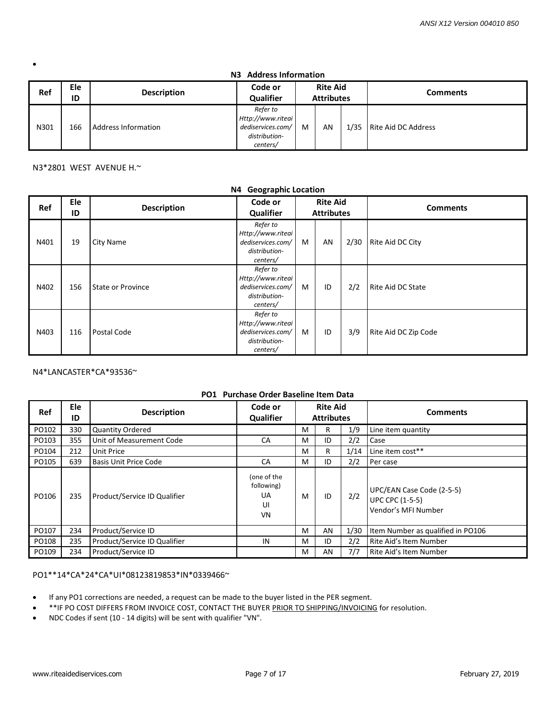|      | <b>Address Information</b><br>N3 |                     |                                                                                 |   |                                      |      |                     |  |  |  |
|------|----------------------------------|---------------------|---------------------------------------------------------------------------------|---|--------------------------------------|------|---------------------|--|--|--|
| Ref  | Ele<br>ID                        | <b>Description</b>  | Code or<br>Qualifier                                                            |   | <b>Rite Aid</b><br><b>Attributes</b> |      | <b>Comments</b>     |  |  |  |
| N301 | 166                              | Address Information | Refer to<br>Http://www.riteai<br>dediservices.com/<br>distribution-<br>centers/ | M | AN                                   | 1/35 | Rite Aid DC Address |  |  |  |

N3\*2801 WEST AVENUE H.~

•

#### **N4 Geographic Location Ref Ele ID Description Code or Qualifier Rite Aid Attributes Comments** N401 19 City Name *Refer to Http://www.riteai dediservices.com/ distributioncenters/*  M | AN | 2/30 | Rite Aid DC City N402 156 State or Province *Refer to Http://www.riteai dediservices.com/ distributioncenters/*  M | ID | 2/2 | Rite Aid DC State N<sub>403</sub> 116 Postal Code *Refer to Http://www.riteai dediservices.com/ distributioncenters/*  M | ID | 3/9 | Rite Aid DC Zip Code

# N4\*LANCASTER\*CA\*93536~

# **PO1 Purchase Order Baseline Item Data**

| <b>Ref</b> | Ele<br>ID | <b>Description</b>           | Code or<br>Qualifier                        |   | <b>Rite Aid</b><br><b>Attributes</b> |      | <b>Comments</b>                                                            |
|------------|-----------|------------------------------|---------------------------------------------|---|--------------------------------------|------|----------------------------------------------------------------------------|
| PO102      | 330       | <b>Quantity Ordered</b>      |                                             | M | R                                    | 1/9  | Line item quantity                                                         |
| PO103      | 355       | Unit of Measurement Code     | CA                                          | м | ID                                   | 2/2  | Case                                                                       |
| PO104      | 212       | Unit Price                   |                                             | M | R                                    | 1/14 | Line item cost**                                                           |
| PO105      | 639       | <b>Basis Unit Price Code</b> | CA                                          | м | ID                                   | 2/2  | Per case                                                                   |
| PO106      | 235       | Product/Service ID Qualifier | (one of the<br>following)<br>UA<br>UI<br>VN | M | ID                                   | 2/2  | UPC/EAN Case Code (2-5-5)<br><b>UPC CPC (1-5-5)</b><br>Vendor's MFI Number |
| PO107      | 234       | Product/Service ID           |                                             | M | AN                                   | 1/30 | Item Number as qualified in PO106                                          |
| PO108      | 235       | Product/Service ID Qualifier | IN                                          | м | ID                                   | 2/2  | Rite Aid's Item Number                                                     |
| PO109      | 234       | Product/Service ID           |                                             | M | AN                                   | 7/7  | Rite Aid's Item Number                                                     |

PO1\*\*14\*CA\*24\*CA\*UI\*08123819853\*IN\*0339466~

- If any PO1 corrections are needed, a request can be made to the buyer listed in the PER segment.
- \*\*IF PO COST DIFFERS FROM INVOICE COST, CONTACT THE BUYER PRIOR TO SHIPPING/INVOICING for resolution.
- NDC Codes if sent (10 14 digits) will be sent with qualifier "VN".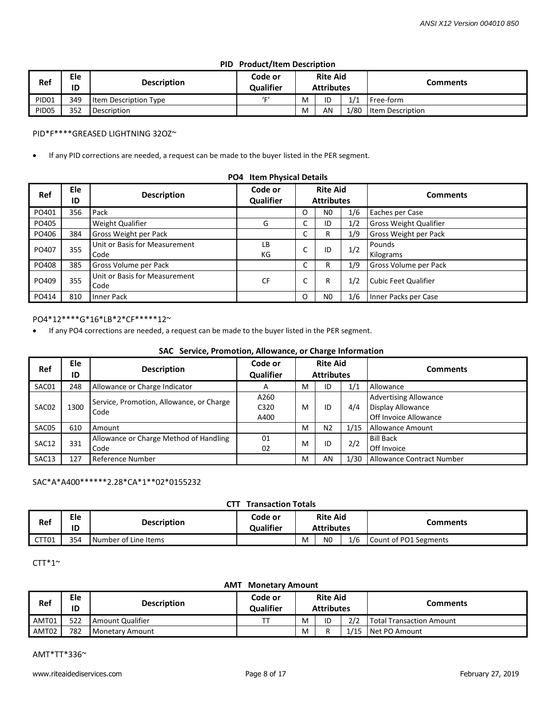#### **PID Product/Item Description**

| Ref               | Ele<br>ID | <b>Description</b>      | Code or<br><b>Qualifier</b> | <b>Rite Aid</b><br><b>Attributes</b> |    |      | Comments                  |
|-------------------|-----------|-------------------------|-----------------------------|--------------------------------------|----|------|---------------------------|
| PID <sub>01</sub> | 349       | I Item Description Type | (1)                         | М                                    | ID | 1/1  | l Free-form               |
| PID <sub>05</sub> | 352       | Description             |                             | M                                    | AN | 1/80 | <b>I</b> Item Description |

#### PID\*F\*\*\*\*GREASED LIGHTNING 32OZ~

• If any PID corrections are needed, a request can be made to the buyer listed in the PER segment.

| Ref   | Ele<br>ID | <b>Description</b>                    | Code or<br>Qualifier | <b>Rite Aid</b><br><b>Attributes</b> |                |     | <b>Comments</b>               |  |  |  |  |
|-------|-----------|---------------------------------------|----------------------|--------------------------------------|----------------|-----|-------------------------------|--|--|--|--|
| PO401 | 356       | Pack                                  |                      | O                                    | N <sub>0</sub> | 1/6 | Eaches per Case               |  |  |  |  |
| PO405 |           | <b>Weight Qualifier</b>               | G                    | ◡                                    | ID             | 1/2 | <b>Gross Weight Qualifier</b> |  |  |  |  |
| PO406 | 384       | Gross Weight per Pack                 |                      | ◡                                    | R              | 1/9 | Gross Weight per Pack         |  |  |  |  |
| PO407 | 355       | Unit or Basis for Measurement<br>Code | LВ<br>KG             | ◡                                    | ID             | 1/2 | Pounds<br>Kilograms           |  |  |  |  |
| PO408 | 385       | Gross Volume per Pack                 |                      | U                                    | R              | 1/9 | Gross Volume per Pack         |  |  |  |  |
| PO409 | 355       | Unit or Basis for Measurement<br>Code | <b>CF</b>            | ◡                                    | R              | 1/2 | <b>Cubic Feet Qualifier</b>   |  |  |  |  |
| PO414 | 810       | Inner Pack                            |                      | O                                    | N <sub>0</sub> | 1/6 | Inner Packs per Case          |  |  |  |  |

## **PO4 Item Physical Details**

# PO4\*12\*\*\*\*G\*16\*LB\*2\*CF\*\*\*\*\*12~

• If any PO4 corrections are needed, a request can be made to the buyer listed in the PER segment.

| <b>Ref</b> | Ele<br>ID | <b>Description</b>                       | Code or<br><b>Qualifier</b> | <b>Rite Aid</b><br><b>Attributes</b> |                |      | <b>Comments</b>              |  |  |  |  |
|------------|-----------|------------------------------------------|-----------------------------|--------------------------------------|----------------|------|------------------------------|--|--|--|--|
| SAC01      | 248       | Allowance or Charge Indicator            | А                           | м                                    | ID             | 1/1  | Allowance                    |  |  |  |  |
|            |           | Service, Promotion, Allowance, or Charge | A260                        |                                      |                |      | <b>Advertising Allowance</b> |  |  |  |  |
| SAC02      | 1300      | Code                                     | C320                        | M                                    | ID             | 4/4  | Display Allowance            |  |  |  |  |
|            |           |                                          | A400                        |                                      |                |      | Off Invoice Allowance        |  |  |  |  |
| SAC05      | 610       | Amount                                   |                             | M                                    | N <sub>2</sub> | 1/15 | Allowance Amount             |  |  |  |  |
| SAC12      | 331       | Allowance or Charge Method of Handling   | 01                          | M                                    | ID             | 2/2  | <b>Bill Back</b>             |  |  |  |  |
|            |           | Code                                     | 02                          |                                      |                |      | Off Invoice                  |  |  |  |  |
| SAC13      | 127       | Reference Number                         |                             | M                                    | AN             | 1/30 | Allowance Contract Number    |  |  |  |  |

# **SAC Service, Promotion, Allowance, or Charge Information**

#### SAC\*A\*A400\*\*\*\*\*\*2.28\*CA\*1\*\*02\*0155232

**CTT Transaction Totals Ref Ele IDESCRIPTION Code or Qualifier Rite Aid Attributes Comments** CTT01 354 Number of Line Items M No No 1/6 Count of PO1 Segments

 $CTT^*1^{\sim}$ 

|       | $\sim$<br><b>IVIUIICLAI V AIIIVUIIL</b> |                         |                             |   |                                      |      |                            |  |  |  |  |
|-------|-----------------------------------------|-------------------------|-----------------------------|---|--------------------------------------|------|----------------------------|--|--|--|--|
| Ref   | Ele<br>ID                               | <b>Description</b>      | Code or<br><b>Qualifier</b> |   | <b>Rite Aid</b><br><b>Attributes</b> |      | Comments                   |  |  |  |  |
| AMT01 | 522                                     | <b>Amount Qualifier</b> |                             | M | ID                                   | 2/2  | l Total Transaction Amount |  |  |  |  |
| AMT02 | 782                                     | Monetary Amount         |                             | M | R                                    | ./15 | l Net PO Amount            |  |  |  |  |

# **AMT Monetary Amount**

# AMT\*TT\*336~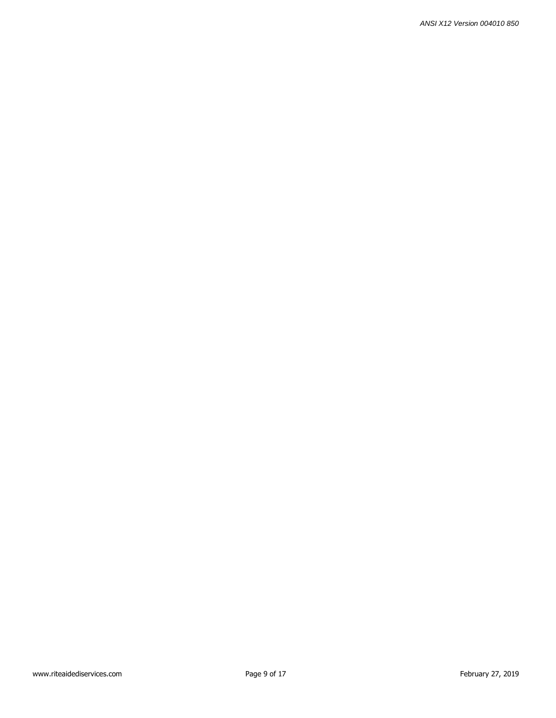*ANSI X12 Version 004010 850*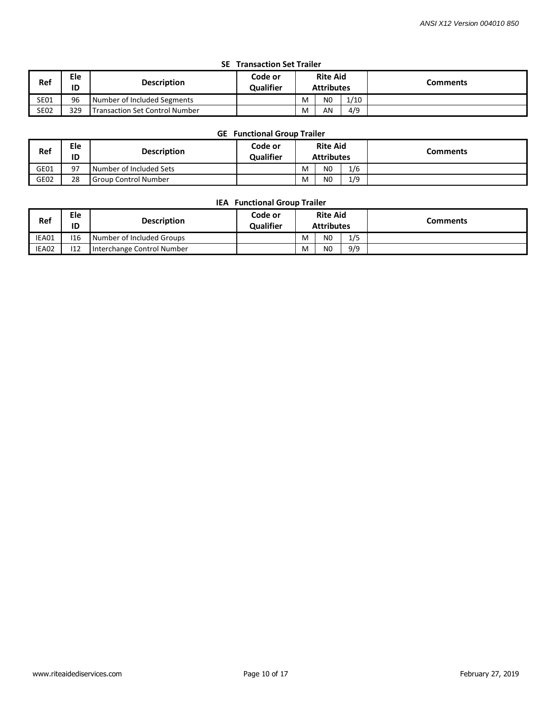#### **SE Transaction Set Trailer**

| Ref         | Ele<br>ID | <b>Description</b>             | Code or<br><b>Qualifier</b> | <b>Rite Aid</b><br><b>Attributes</b> |                |      | Comments |
|-------------|-----------|--------------------------------|-----------------------------|--------------------------------------|----------------|------|----------|
| SE01        | 96        | Number of Included Segments    |                             | M                                    | N <sub>0</sub> | 1/10 |          |
| <b>SE02</b> | 329       | Transaction Set Control Number |                             | M                                    | AN             | 4/9  |          |

#### **GE Functional Group Trailer Ref Ele IDENTIFY Description Code or Qualifier Rite Aid Attributes Comments** GE01 97 Number of Included Sets M NO 1/6 GE02 28 Group Control Number M NO 1/9

# **IEA Functional Group Trailer**

| Ref   | Ele<br>ID | <b>Description</b>         | Code or<br><b>Qualifier</b> | <b>Rite Aid</b><br><b>Attributes</b> |                |     | Comments |
|-------|-----------|----------------------------|-----------------------------|--------------------------------------|----------------|-----|----------|
| IEA01 | 116       | Number of Included Groups  |                             |                                      | N <sub>0</sub> | 1/5 |          |
| IEA02 | 112       | Interchange Control Number |                             | M                                    | N <sub>0</sub> | 9/9 |          |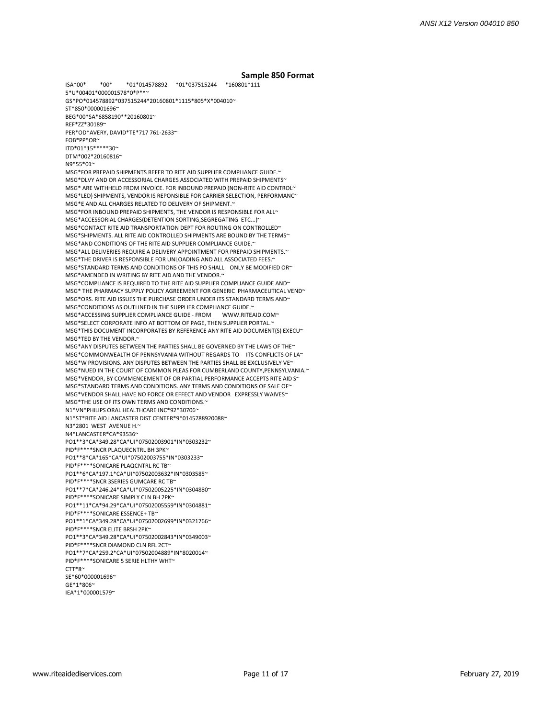**Sample 850 Format**

ISA\*00\* \*00\* \*01\*014578892 \*01\*037515244 \*160801\*111 5\*U\*00401\*000001578\*0\*P\*^~ GS\*PO\*014578892\*037515244\*20160801\*1115\*805\*X\*004010~ ST\*850\*000001696~ BEG\*00\*SA\*6858190\*\*20160801~ REF\*ZZ\*30189~ PER\*OD\*AVERY, DAVID\*TE\*717 761-2633~ FOB\*PP\*OR~ ITD\*01\*15\*\*\*\*\*30~ DTM\*002\*20160816~ N9\*55\*01~ MSG\*FOR PREPAID SHIPMENTS REFER TO RITE AID SUPPLIER COMPLIANCE GUIDE.~ MSG\*DLVY AND OR ACCESSORIAL CHARGES ASSOCIATED WITH PREPAID SHIPMENTS~ MSG\* ARE WITHHELD FROM INVOICE. FOR INBOUND PREPAID (NON-RITE AID CONTROL~ MSG\*LED) SHIPMENTS, VENDOR IS REPONSIBLE FOR CARRIER SELECTION, PERFORMANC~ MSG\*E AND ALL CHARGES RELATED TO DELIVERY OF SHIPMENT.~ MSG\*FOR INBOUND PREPAID SHIPMENTS, THE VENDOR IS RESPONSIBLE FOR ALL~ MSG\*ACCESSORIAL CHARGES(DETENTION SORTING,SEGREGATING ETC...)~ MSG\*CONTACT RITE AID TRANSPORTATION DEPT FOR ROUTING ON CONTROLLED~ MSG\*SHIPMENTS. ALL RITE AID CONTROLLED SHIPMENTS ARE BOUND BY THE TERMS~ MSG\*AND CONDITIONS OF THE RITE AID SUPPLIER COMPLIANCE GUIDE.~ MSG\*ALL DELIVERIES REQUIRE A DELIVERY APPOINTMENT FOR PREPAID SHIPMENTS.~ MSG\*THE DRIVER IS RESPONSIBLE FOR UNLOADING AND ALL ASSOCIATED FEES.~ MSG\*STANDARD TERMS AND CONDITIONS OF THIS PO SHALL ONLY BE MODIFIED OR~ MSG\*AMENDED IN WRITING BY RITE AID AND THE VENDOR.~ MSG\*COMPLIANCE IS REQUIRED TO THE RITE AID SUPPLIER COMPLIANCE GUIDE AND~ MSG\* THE PHARMACY SUPPLY POLICY AGREEMENT FOR GENERIC PHARMACEUTICAL VEND~ MSG\*ORS. RITE AID ISSUES THE PURCHASE ORDER UNDER ITS STANDARD TERMS AND~ MSG\*CONDITIONS AS OUTLINED IN THE SUPPLIER COMPLIANCE GUIDE. MSG\*ACCESSING SUPPLIER COMPLIANCE GUIDE - FROM WWW.RITEAID.COM~ MSG\*SELECT CORPORATE INFO AT BOTTOM OF PAGE, THEN SUPPLIER PORTAL.~ MSG\*THIS DOCUMENT INCORPORATES BY REFERENCE ANY RITE AID DOCUMENT(S) EXECU~ MSG\*TED BY THE VENDOR  $\sim$ MSG\*ANY DISPUTES BETWEEN THE PARTIES SHALL BE GOVERNED BY THE LAWS OF THE~ MSG\*COMMONWEALTH OF PENNSYVANIA WITHOUT REGARDS TO ITS CONFLICTS OF LA~ MSG\*W PROVISIONS. ANY DISPUTES BETWEEN THE PARTIES SHALL BE EXCLUSIVELY VE~ MSG\*NUED IN THE COURT OF COMMON PLEAS FOR CUMBERLAND COUNTY,PENNSYLVANIA.~ MSG\*VENDOR, BY COMMENCEMENT OF OR PARTIAL PERFORMANCE ACCEPTS RITE AID S~ MSG\*STANDARD TERMS AND CONDITIONS. ANY TERMS AND CONDITIONS OF SALE OF~ MSG\*VENDOR SHALL HAVE NO FORCE OR EFFECT AND VENDOR EXPRESSLY WAIVES~ MSG\*THE USE OF ITS OWN TERMS AND CONDITIONS. N1\*VN\*PHILIPS ORAL HEALTHCARE INC\*92\*30706~ N1\*ST\*RITE AID LANCASTER DIST CENTER\*9\*0145788920088~ N3\*2801 WEST AVENUE H.~ N4\*LANCASTER\*CA\*93536~ PO1\*\*3\*CA\*349.28\*CA\*UI\*07502003901\*IN\*0303232~ PID\*F\*\*\*\*SNCR PLAQUECNTRL BH 3PK~ PO1\*\*8\*CA\*165\*CA\*UI\*07502003755\*IN\*0303233~ PID\*F\*\*\*\*SONICARE PLAQCNTRL RC TB~ PO1\*\*6\*CA\*197.1\*CA\*UI\*07502003632\*IN\*0303585~ PID\*F\*\*\*\*SNCR 3SERIES GUMCARE RC TB~ PO1\*\*7\*CA\*246.24\*CA\*UI\*07502005225\*IN\*0304880~ PID\*F\*\*\*\*SONICARE SIMPLY CLN BH 2PK~ PO1\*\*11\*CA\*94.29\*CA\*UI\*07502005559\*IN\*0304881~ PID\*F\*\*\*\*SONICARE ESSENCE+ TB~ PO1\*\*1\*CA\*349.28\*CA\*UI\*07502002699\*IN\*0321766~ PID\*F\*\*\*\*SNCR ELITE BRSH 2PK~ PO1\*\*3\*CA\*349.28\*CA\*UI\*07502002843\*IN\*0349003~ PID\*F\*\*\*\*SNCR DIAMOND CLN RFL 2CT~ PO1\*\*7\*CA\*259.2\*CA\*UI\*07502004889\*IN\*8020014~ PID\*F\*\*\*\*SONICARE 5 SERIE HLTHY WHT~ CTT\*8~ SE\*60\*000001696~ GE\*1\*806~ IEA\*1\*000001579~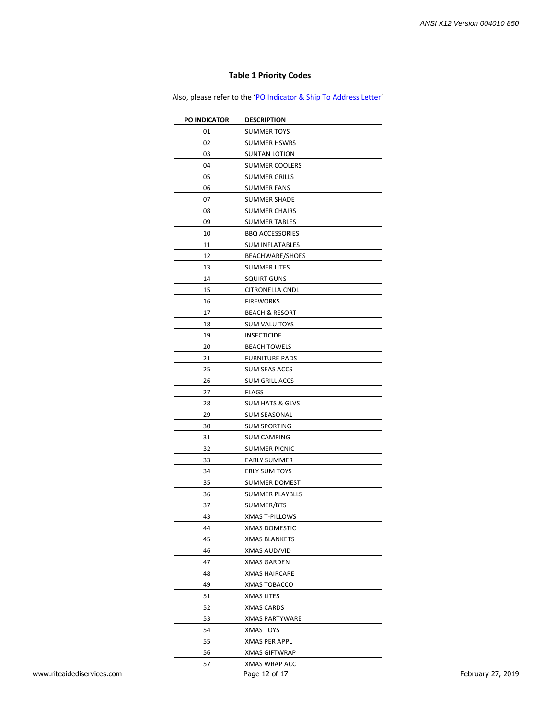# **Table 1 Priority Codes**

Also, please refer to the '[PO Indicator & Ship To Address Letter](http://www.riteaidediservices.com/)'

|                            | PO INDICATOR | <b>DESCRIPTION</b>         |                   |
|----------------------------|--------------|----------------------------|-------------------|
|                            | 01           | <b>SUMMER TOYS</b>         |                   |
|                            | 02           | <b>SUMMER HSWRS</b>        |                   |
|                            | 03           | <b>SUNTAN LOTION</b>       |                   |
|                            | 04           | <b>SUMMER COOLERS</b>      |                   |
|                            | 05           | <b>SUMMER GRILLS</b>       |                   |
|                            | 06           | <b>SUMMER FANS</b>         |                   |
|                            | 07           | <b>SUMMER SHADE</b>        |                   |
|                            | 08           | <b>SUMMER CHAIRS</b>       |                   |
|                            | 09           | <b>SUMMER TABLES</b>       |                   |
|                            | 10           | <b>BBQ ACCESSORIES</b>     |                   |
|                            | 11           | <b>SUM INFLATABLES</b>     |                   |
|                            | 12           | BEACHWARE/SHOES            |                   |
|                            | 13           | <b>SUMMER LITES</b>        |                   |
|                            | 14           | <b>SQUIRT GUNS</b>         |                   |
|                            | 15           | CITRONELLA CNDL            |                   |
|                            | 16           | <b>FIREWORKS</b>           |                   |
|                            | 17           | <b>BEACH &amp; RESORT</b>  |                   |
|                            | 18           | <b>SUM VALU TOYS</b>       |                   |
|                            | 19           | <b>INSECTICIDE</b>         |                   |
|                            | 20           | <b>BEACH TOWELS</b>        |                   |
|                            | 21           | <b>FURNITURE PADS</b>      |                   |
|                            | 25           | <b>SUM SEAS ACCS</b>       |                   |
|                            | 26           | <b>SUM GRILL ACCS</b>      |                   |
|                            | 27           | <b>FLAGS</b>               |                   |
|                            | 28           | <b>SUM HATS &amp; GLVS</b> |                   |
|                            | 29           | <b>SUM SEASONAL</b>        |                   |
|                            | 30           | <b>SUM SPORTING</b>        |                   |
|                            | 31           | <b>SUM CAMPING</b>         |                   |
|                            | 32           | <b>SUMMER PICNIC</b>       |                   |
|                            | 33           | <b>EARLY SUMMER</b>        |                   |
|                            | 34           | <b>ERLY SUM TOYS</b>       |                   |
|                            | 35           | <b>SUMMER DOMEST</b>       |                   |
|                            | 36           | <b>SUMMER PLAYBLLS</b>     |                   |
|                            | 37           | SUMMER/BTS                 |                   |
|                            | 43           | <b>XMAS T-PILLOWS</b>      |                   |
|                            | 44           | XMAS DOMESTIC              |                   |
|                            | 45           | <b>XMAS BLANKETS</b>       |                   |
|                            | 46           | XMAS AUD/VID               |                   |
|                            | 47           | <b>XMAS GARDEN</b>         |                   |
|                            | 48           | <b>XMAS HAIRCARE</b>       |                   |
|                            | 49           | XMAS TOBACCO               |                   |
|                            | 51           | XMAS LITES                 |                   |
|                            | 52           | <b>XMAS CARDS</b>          |                   |
|                            | 53           | <b>XMAS PARTYWARE</b>      |                   |
|                            | 54           | <b>XMAS TOYS</b>           |                   |
|                            | 55           | <b>XMAS PER APPL</b>       |                   |
|                            | 56           | <b>XMAS GIFTWRAP</b>       |                   |
|                            | 57           | XMAS WRAP ACC              |                   |
| www.riteaidediservices.com |              | Page 12 of 17              | February 27, 2019 |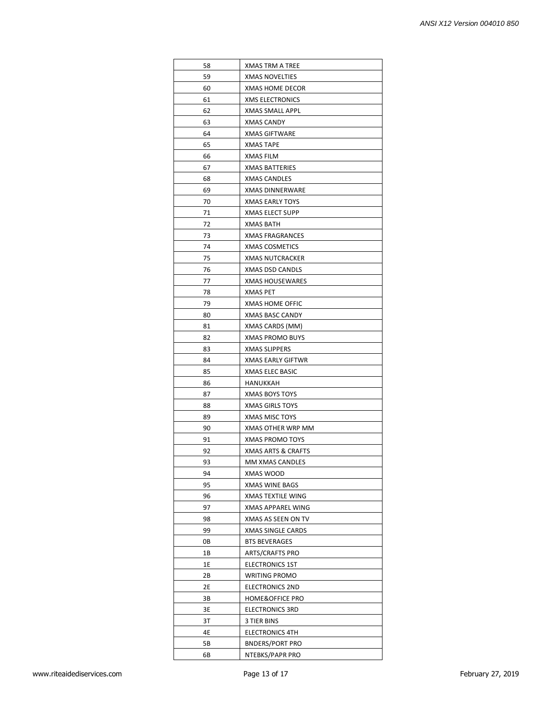| 58 | <b>XMAS TRM A TREE</b>     |  |
|----|----------------------------|--|
| 59 | XMAS NOVELTIES             |  |
| 60 | XMAS HOME DECOR            |  |
| 61 | <b>XMS ELECTRONICS</b>     |  |
| 62 | XMAS SMALL APPL            |  |
| 63 | <b>XMAS CANDY</b>          |  |
| 64 | <b>XMAS GIFTWARE</b>       |  |
| 65 | XMAS TAPE                  |  |
| 66 | XMAS FILM                  |  |
| 67 | XMAS BATTERIES             |  |
| 68 | <b>XMAS CANDLES</b>        |  |
| 69 | <b>XMAS DINNERWARE</b>     |  |
| 70 | <b>XMAS EARLY TOYS</b>     |  |
| 71 | XMAS ELECT SUPP            |  |
| 72 | XMAS BATH                  |  |
| 73 | <b>XMAS FRAGRANCES</b>     |  |
| 74 | <b>XMAS COSMETICS</b>      |  |
| 75 | <b>XMAS NUTCRACKER</b>     |  |
| 76 | XMAS DSD CANDLS            |  |
| 77 | <b>XMAS HOUSEWARES</b>     |  |
| 78 | XMAS PET                   |  |
| 79 | <b>XMAS HOME OFFIC</b>     |  |
| 80 | XMAS BASC CANDY            |  |
| 81 | XMAS CARDS (MM)            |  |
| 82 | <b>XMAS PROMO BUYS</b>     |  |
| 83 | XMAS SLIPPERS              |  |
| 84 | <b>XMAS EARLY GIFTWR</b>   |  |
| 85 | XMAS ELEC BASIC            |  |
| 86 | HANUKKAH                   |  |
| 87 | XMAS BOYS TOYS             |  |
| 88 | <b>XMAS GIRLS TOYS</b>     |  |
| 89 | XMAS MISC TOYS             |  |
| 90 | XMAS OTHER WRP MM          |  |
| 91 | <b>XMAS PROMO TOYS</b>     |  |
| 92 | XMAS ARTS & CRAFTS         |  |
| 93 | MM XMAS CANDLES            |  |
| 94 | XMAS WOOD                  |  |
| 95 | <b>XMAS WINE BAGS</b>      |  |
| 96 | XMAS TEXTILE WING          |  |
| 97 | <b>XMAS APPAREL WING</b>   |  |
| 98 | XMAS AS SEEN ON TV         |  |
| 99 | <b>XMAS SINGLE CARDS</b>   |  |
| 0B | <b>BTS BEVERAGES</b>       |  |
| 1В | <b>ARTS/CRAFTS PRO</b>     |  |
| 1E | <b>ELECTRONICS 1ST</b>     |  |
| 2В | WRITING PROMO              |  |
| 2Е | ELECTRONICS 2ND            |  |
| зв | <b>HOME&amp;OFFICE PRO</b> |  |
| 3E | <b>ELECTRONICS 3RD</b>     |  |
| ЗT | 3 TIER BINS                |  |
| 4Е | <b>ELECTRONICS 4TH</b>     |  |
| 5В | BNDERS/PORT PRO            |  |
| 6В | NTEBKS/PAPR PRO            |  |
|    |                            |  |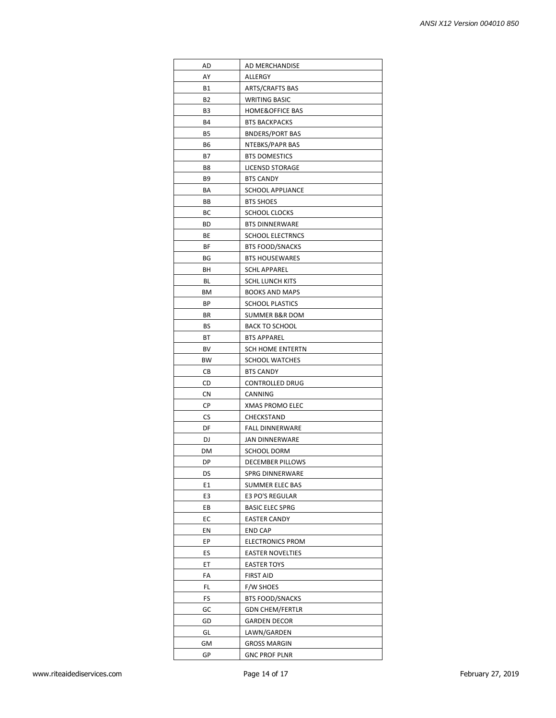| AD             | AD MERCHANDISE             |  |
|----------------|----------------------------|--|
| AY             | ALLERGY                    |  |
| <b>B1</b>      | <b>ARTS/CRAFTS BAS</b>     |  |
| B <sub>2</sub> | <b>WRITING BASIC</b>       |  |
| B3             | <b>HOME&amp;OFFICE BAS</b> |  |
| B4             | <b>BTS BACKPACKS</b>       |  |
| B5             | <b>BNDERS/PORT BAS</b>     |  |
| В6             | NTEBKS/PAPR BAS            |  |
| В7             | <b>BTS DOMESTICS</b>       |  |
| B8             | <b>LICENSD STORAGE</b>     |  |
| B9             | <b>BTS CANDY</b>           |  |
| ΒA             | SCHOOL APPLIANCE           |  |
| ВB             | <b>BTS SHOES</b>           |  |
| ВC             | <b>SCHOOL CLOCKS</b>       |  |
| ВD             | <b>BTS DINNERWARE</b>      |  |
| ВE             | <b>SCHOOL ELECTRNCS</b>    |  |
| BF             | <b>BTS FOOD/SNACKS</b>     |  |
| ΒG             | <b>BTS HOUSEWARES</b>      |  |
| BН             | <b>SCHL APPAREL</b>        |  |
| BL             | <b>SCHL LUNCH KITS</b>     |  |
| ΒM             | <b>BOOKS AND MAPS</b>      |  |
| ВP             | SCHOOL PLASTICS            |  |
| ΒR             | SUMMER B&R DOM             |  |
| BS             | <b>BACK TO SCHOOL</b>      |  |
| ВT             | <b>BTS APPAREL</b>         |  |
| BV             | SCH HOME ENTERTN           |  |
| BW             | <b>SCHOOL WATCHES</b>      |  |
| CВ             | <b>BTS CANDY</b>           |  |
| CD             | CONTROLLED DRUG            |  |
| CN             | CANNING                    |  |
| СP             | XMAS PROMO ELEC            |  |
| CS             | CHECKSTAND                 |  |
| DF             | <b>FALL DINNERWARE</b>     |  |
| DJ             | JAN DINNERWARE             |  |
| DM             | SCHOOL DORM                |  |
| DP             | DECEMBER PILLOWS           |  |
| DS             | <b>SPRG DINNERWARE</b>     |  |
| E1             | <b>SUMMER ELEC BAS</b>     |  |
| E3             | <b>E3 PO'S REGULAR</b>     |  |
| EВ             | <b>BASIC ELEC SPRG</b>     |  |
| EС             | EASTER CANDY               |  |
| ΕN             | <b>END CAP</b>             |  |
| EР             | <b>ELECTRONICS PROM</b>    |  |
| ES             | <b>EASTER NOVELTIES</b>    |  |
| ЕT             | <b>EASTER TOYS</b>         |  |
| FA             | <b>FIRST AID</b>           |  |
| FL             | <b>F/W SHOES</b>           |  |
| FS             | <b>BTS FOOD/SNACKS</b>     |  |
| GC             | <b>GDN CHEM/FERTLR</b>     |  |
| GD             | <b>GARDEN DECOR</b>        |  |
| GL             | LAWN/GARDEN                |  |
| GМ             | <b>GROSS MARGIN</b>        |  |
| GP             | <b>GNC PROF PLNR</b>       |  |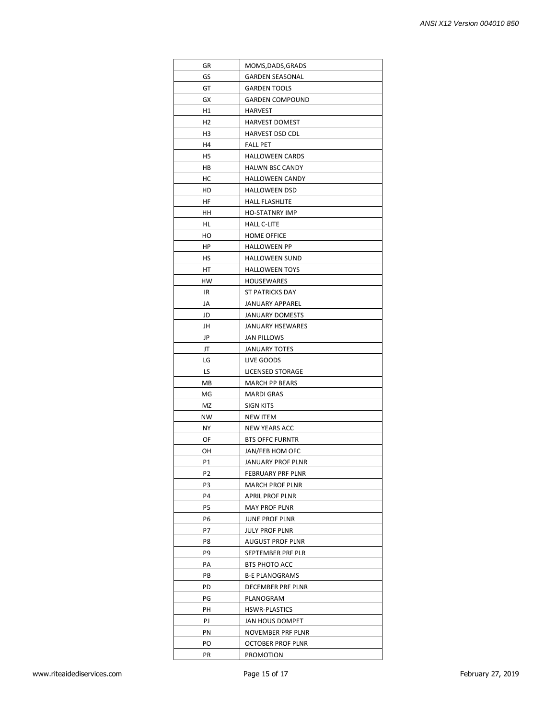| GR             | MOMS, DADS, GRADS        |  |
|----------------|--------------------------|--|
| GS             | <b>GARDEN SEASONAL</b>   |  |
| GT             | <b>GARDEN TOOLS</b>      |  |
| GX             | <b>GARDEN COMPOUND</b>   |  |
| Η1             | HARVEST                  |  |
| H2             | <b>HARVEST DOMEST</b>    |  |
| H3             | HARVEST DSD CDL          |  |
| H4             | <b>FALL PET</b>          |  |
| H5             | <b>HALLOWEEN CARDS</b>   |  |
| HВ             | <b>HALWN BSC CANDY</b>   |  |
| НC             | <b>HALLOWEEN CANDY</b>   |  |
| HD             | <b>HALLOWEEN DSD</b>     |  |
| ΗF             | <b>HALL FLASHLITE</b>    |  |
| HH             | <b>HO-STATNRY IMP</b>    |  |
| HL             | <b>HALL C-LITE</b>       |  |
| HO             | <b>HOME OFFICE</b>       |  |
| HP             | <b>HALLOWEEN PP</b>      |  |
| НS             | <b>HALLOWEEN SUND</b>    |  |
| НT             | <b>HALLOWEEN TOYS</b>    |  |
| HW             | HOUSEWARES               |  |
| IR             | ST PATRICKS DAY          |  |
| JA             | <b>JANUARY APPAREL</b>   |  |
| JD             | JANUARY DOMESTS          |  |
| JH             | JANUARY HSEWARES         |  |
| JP             | <b>JAN PILLOWS</b>       |  |
| JT             | JANUARY TOTES            |  |
| LG             | LIVE GOODS               |  |
| LS             | LICENSED STORAGE         |  |
| MВ             | <b>MARCH PP BEARS</b>    |  |
| MG             | MARDI GRAS               |  |
| MZ             | SIGN KITS                |  |
| ΝW             | <b>NEW ITEM</b>          |  |
| ΝY             | <b>NEW YEARS ACC</b>     |  |
| OF             | <b>BTS OFFC FURNTR</b>   |  |
| OН             | JAN/FEB HOM OFC          |  |
| Ρ1             | JANUARY PROF PLNR        |  |
| P2             | FEBRUARY PRF PLNR        |  |
| P <sub>3</sub> | <b>MARCH PROF PLNR</b>   |  |
| P <sub>4</sub> | APRIL PROF PLNR          |  |
| P5             | MAY PROF PLNR            |  |
| Р6             | JUNE PROF PLNR           |  |
| P7             | <b>JULY PROF PLNR</b>    |  |
| P8             | AUGUST PROF PLNR         |  |
| P9             | SEPTEMBER PRF PLR        |  |
| PА             | <b>BTS PHOTO ACC</b>     |  |
| PB             | <b>B-E PLANOGRAMS</b>    |  |
| PD             | DECEMBER PRF PLNR        |  |
| PG             | PLANOGRAM                |  |
| PH             | <b>HSWR-PLASTICS</b>     |  |
| PJ             | JAN HOUS DOMPET          |  |
| PN             | NOVEMBER PRF PLNR        |  |
| PO             | <b>OCTOBER PROF PLNR</b> |  |
| PR             | PROMOTION                |  |
|                |                          |  |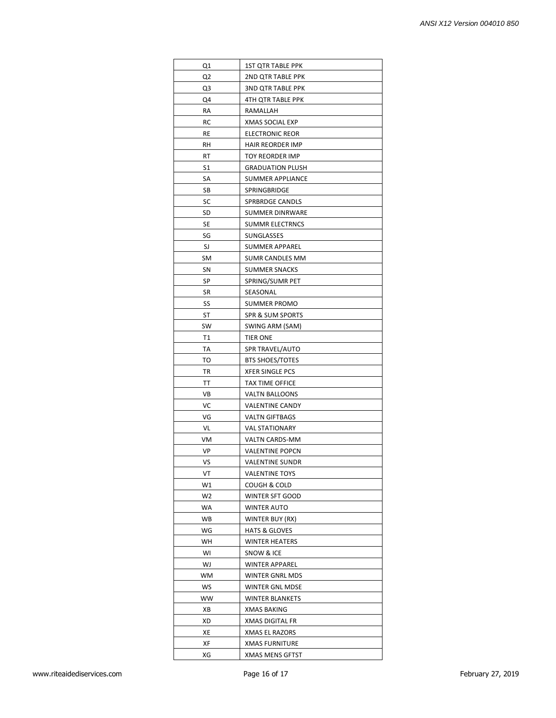| Q1             | <b>1ST QTR TABLE PPK</b>    |
|----------------|-----------------------------|
| Q2             | 2ND QTR TABLE PPK           |
| Q3             | 3ND QTR TABLE PPK           |
| Q4             | 4TH QTR TABLE PPK           |
| RA             | RAMALLAH                    |
| RC             | XMAS SOCIAL EXP             |
| RE             | <b>ELECTRONIC REOR</b>      |
| RH             | <b>HAIR REORDER IMP</b>     |
| RT             | <b>TOY REORDER IMP</b>      |
| S1             | <b>GRADUATION PLUSH</b>     |
| SA             | <b>SUMMER APPLIANCE</b>     |
| SВ             | SPRINGBRIDGE                |
| SC             | <b>SPRBRDGE CANDLS</b>      |
| SD             | <b>SUMMER DINRWARE</b>      |
| SE             | <b>SUMMR ELECTRNCS</b>      |
| SG             | SUNGLASSES                  |
| SJ             | SUMMER APPAREL              |
| SM             | SUMR CANDLES MM             |
| <b>SN</b>      | <b>SUMMER SNACKS</b>        |
| SP             | SPRING/SUMR PET             |
| SR             | SEASONAL                    |
| SS             | <b>SUMMER PROMO</b>         |
| ST             | <b>SPR &amp; SUM SPORTS</b> |
| SW             | SWING ARM (SAM)             |
| T1             | TIER ONE                    |
| ТA             | SPR TRAVEL/AUTO             |
| то             | <b>BTS SHOES/TOTES</b>      |
| ΤR             | <b>XFER SINGLE PCS</b>      |
| ΤT             | TAX TIME OFFICE             |
| VB             | VALTN BALLOONS              |
| vc             | <b>VALENTINE CANDY</b>      |
| VG             | <b>VALTN GIFTBAGS</b>       |
| VL             | VAL STATIONARY              |
| VM             | VALTN CARDS-MM              |
| VP             | <b>VALENTINE POPCN</b>      |
| VS             | VALENTINE SUNDR             |
| VT             | <b>VALENTINE TOYS</b>       |
| W1             | <b>COUGH &amp; COLD</b>     |
| W <sub>2</sub> | WINTER SFT GOOD             |
| WA             | <b>WINTER AUTO</b>          |
| WB             | WINTER BUY (RX)             |
| WG             | <b>HATS &amp; GLOVES</b>    |
| WH             | <b>WINTER HEATERS</b>       |
| WI             | SNOW & ICE                  |
| WJ             | WINTER APPAREL              |
| WМ             | <b>WINTER GNRL MDS</b>      |
| WS             | WINTER GNL MDSE             |
| <b>WW</b>      | WINTER BLANKETS             |
| XВ             | <b>XMAS BAKING</b>          |
| XD             | <b>XMAS DIGITAL FR</b>      |
| XE             | XMAS EL RAZORS              |
| XF             |                             |
|                | <b>XMAS FURNITURE</b>       |
| ХG             | <b>XMAS MENS GFTST</b>      |